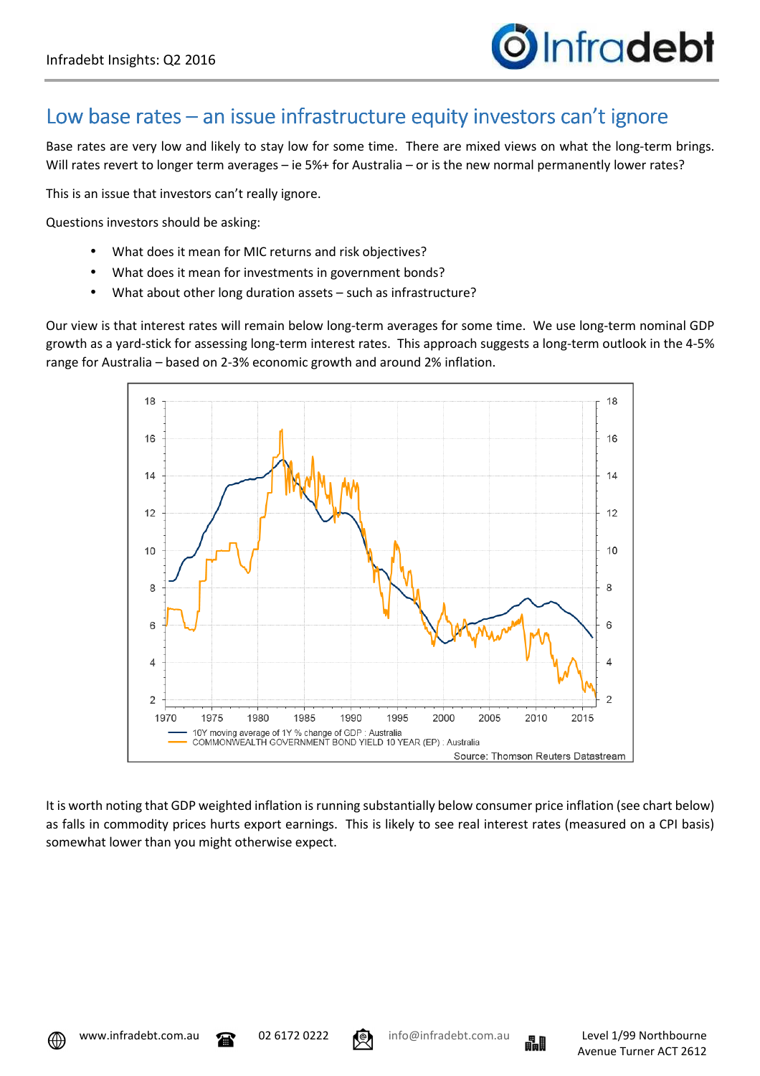

## Low base rates – an issue infrastructure equity investors can't ignore

Base rates are very low and likely to stay low for some time. There are mixed views on what the long-term brings. Will rates revert to longer term averages – ie 5%+ for Australia – or is the new normal permanently lower rates?

This is an issue that investors can't really ignore.

Questions investors should be asking:

- What does it mean for MIC returns and risk objectives?
- What does it mean for investments in government bonds?
- What about other long duration assets such as infrastructure?

Our view is that interest rates will remain below long-term averages for some time. We use long-term nominal GDP growth as a yard-stick for assessing long-term interest rates. This approach suggests a long-term outlook in the 4-5% range for Australia – based on 2-3% economic growth and around 2% inflation.



It is worth noting that GDP weighted inflation is running substantially below consumer price inflation (see chart below) as falls in commodity prices hurts export earnings. This is likely to see real interest rates (measured on a CPI basis) somewhat lower than you might otherwise expect.





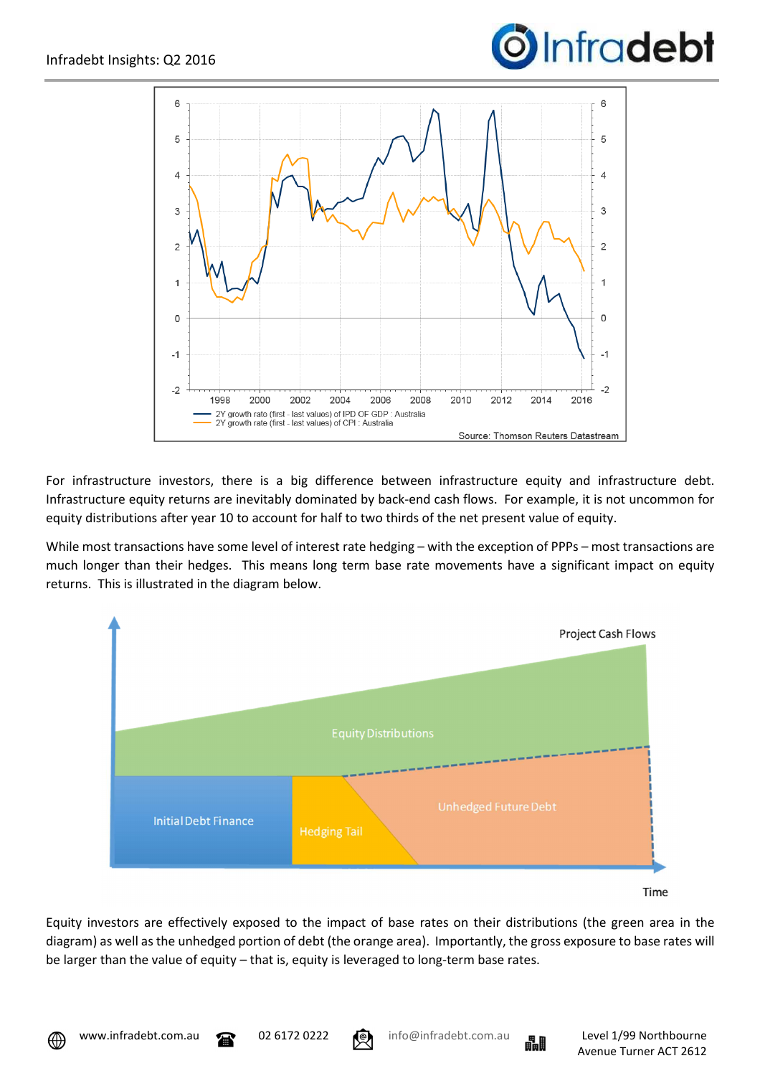



For infrastructure investors, there is a big difference between infrastructure equity and infrastructure debt. Infrastructure equity returns are inevitably dominated by back-end cash flows. For example, it is not uncommon for equity distributions after year 10 to account for half to two thirds of the net present value of equity.

While most transactions have some level of interest rate hedging – with the exception of PPPs – most transactions are much longer than their hedges. This means long term base rate movements have a significant impact on equity returns. This is illustrated in the diagram below.



Equity investors are effectively exposed to the impact of base rates on their distributions (the green area in the diagram) as well as the unhedged portion of debt (the orange area). Importantly, the gross exposure to base rates will be larger than the value of equity – that is, equity is leveraged to long-term base rates.